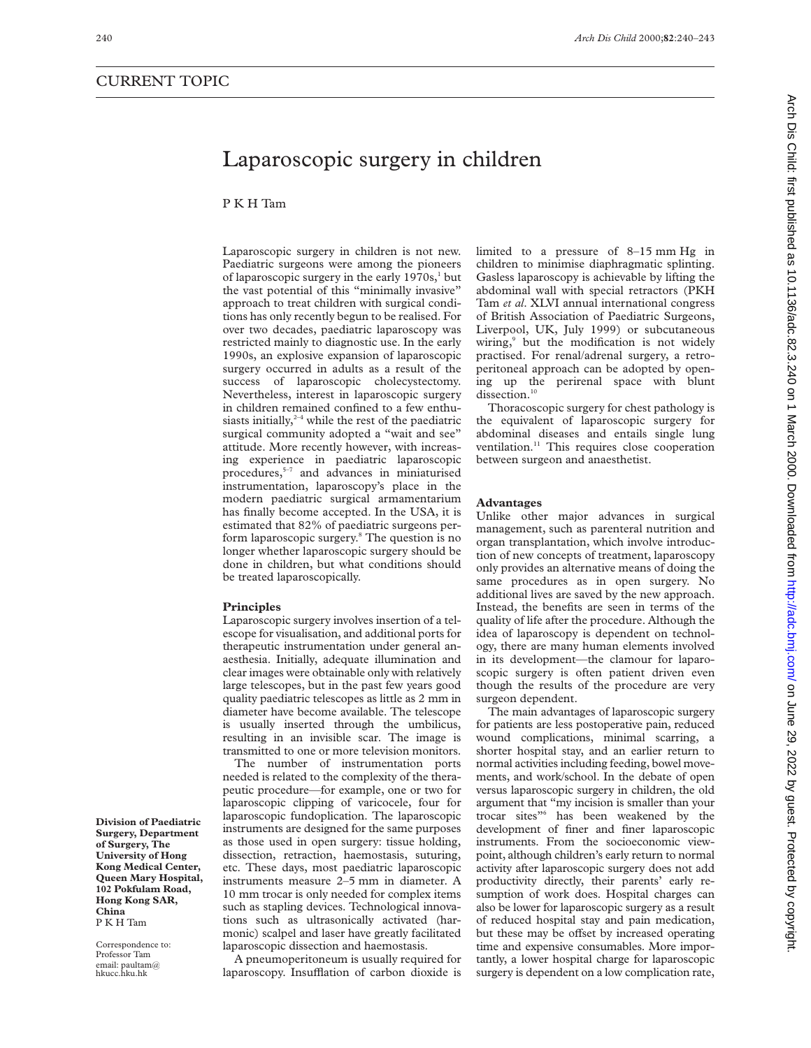# Laparoscopic surgery in children

P K H Tam

Laparoscopic surgery in children is not new. Paediatric surgeons were among the pioneers of laparoscopic surgery in the early 1970s,<sup>1</sup> but the vast potential of this "minimally invasive" approach to treat children with surgical conditions has only recently begun to be realised. For over two decades, paediatric laparoscopy was restricted mainly to diagnostic use. In the early 1990s, an explosive expansion of laparoscopic surgery occurred in adults as a result of the success of laparoscopic cholecystectomy. Nevertheless, interest in laparoscopic surgery in children remained confined to a few enthusiasts initially, $2-4$  while the rest of the paediatric surgical community adopted a "wait and see" attitude. More recently however, with increasing experience in paediatric laparoscopic procedures,<sup>5-7</sup> and advances in miniaturised instrumentation, laparoscopy's place in the modern paediatric surgical armamentarium has finally become accepted. In the USA, it is estimated that 82% of paediatric surgeons perform laparoscopic surgery.8 The question is no longer whether laparoscopic surgery should be done in children, but what conditions should be treated laparoscopically.

#### **Principles**

**Division of Paediatric Surgery, Department of Surgery, The University of Hong Kong Medical Center, Queen Mary Hospital, 102 Pokfulam Road, Hong Kong SAR,**

**China** P K H Tam Correspondence to: Professor Tam email: paultam@ hkucc.hku.hk

Laparoscopic surgery involves insertion of a telescope for visualisation, and additional ports for therapeutic instrumentation under general anaesthesia. Initially, adequate illumination and clear images were obtainable only with relatively large telescopes, but in the past few years good quality paediatric telescopes as little as 2 mm in diameter have become available. The telescope is usually inserted through the umbilicus, resulting in an invisible scar. The image is transmitted to one or more television monitors.

The number of instrumentation ports needed is related to the complexity of the therapeutic procedure—for example, one or two for laparoscopic clipping of varicocele, four for laparoscopic fundoplication. The laparoscopic instruments are designed for the same purposes as those used in open surgery: tissue holding, dissection, retraction, haemostasis, suturing, etc. These days, most paediatric laparoscopic instruments measure 2–5 mm in diameter. A 10 mm trocar is only needed for complex items such as stapling devices. Technological innovations such as ultrasonically activated (harmonic) scalpel and laser have greatly facilitated laparoscopic dissection and haemostasis.

A pneumoperitoneum is usually required for laparoscopy. Insufflation of carbon dioxide is

limited to a pressure of 8–15 mm Hg in children to minimise diaphragmatic splinting. Gasless laparoscopy is achievable by lifting the abdominal wall with special retractors (PKH Tam *et al*. XLVI annual international congress of British Association of Paediatric Surgeons, Liverpool, UK, July 1999) or subcutaneous wiring,<sup>9</sup> but the modification is not widely practised. For renal/adrenal surgery, a retroperitoneal approach can be adopted by opening up the perirenal space with blunt dissection.<sup>10</sup>

Thoracoscopic surgery for chest pathology is the equivalent of laparoscopic surgery for abdominal diseases and entails single lung ventilation.<sup>11</sup> This requires close cooperation between surgeon and anaesthetist.

## **Advantages**

Unlike other major advances in surgical management, such as parenteral nutrition and organ transplantation, which involve introduction of new concepts of treatment, laparoscopy only provides an alternative means of doing the same procedures as in open surgery. No additional lives are saved by the new approach. Instead, the benefits are seen in terms of the quality of life after the procedure. Although the idea of laparoscopy is dependent on technology, there are many human elements involved in its development—the clamour for laparoscopic surgery is often patient driven even though the results of the procedure are very surgeon dependent.

The main advantages of laparoscopic surgery for patients are less postoperative pain, reduced wound complications, minimal scarring, a shorter hospital stay, and an earlier return to normal activities including feeding, bowel movements, and work/school. In the debate of open versus laparoscopic surgery in children, the old argument that "my incision is smaller than your trocar sites"6 has been weakened by the development of finer and finer laparoscopic instruments. From the socioeconomic viewpoint, although children's early return to normal activity after laparoscopic surgery does not add productivity directly, their parents' early resumption of work does. Hospital charges can also be lower for laparoscopic surgery as a result of reduced hospital stay and pain medication, but these may be offset by increased operating time and expensive consumables. More importantly, a lower hospital charge for laparoscopic surgery is dependent on a low complication rate,

Arch Dis Child: first published as 10.1136/adc.82.3.240 on 1 March 2000. Downloaded from http://adc.bmj.com/ on June 29, 2022 by guest. Protected by copyright on June 29, 2022 by guest. Protected by copyright. <http://adc.bmj.com/> Arch Dis Child: first published as 10.1136/adc.82.3.240 on 1 March 2000. Downloaded from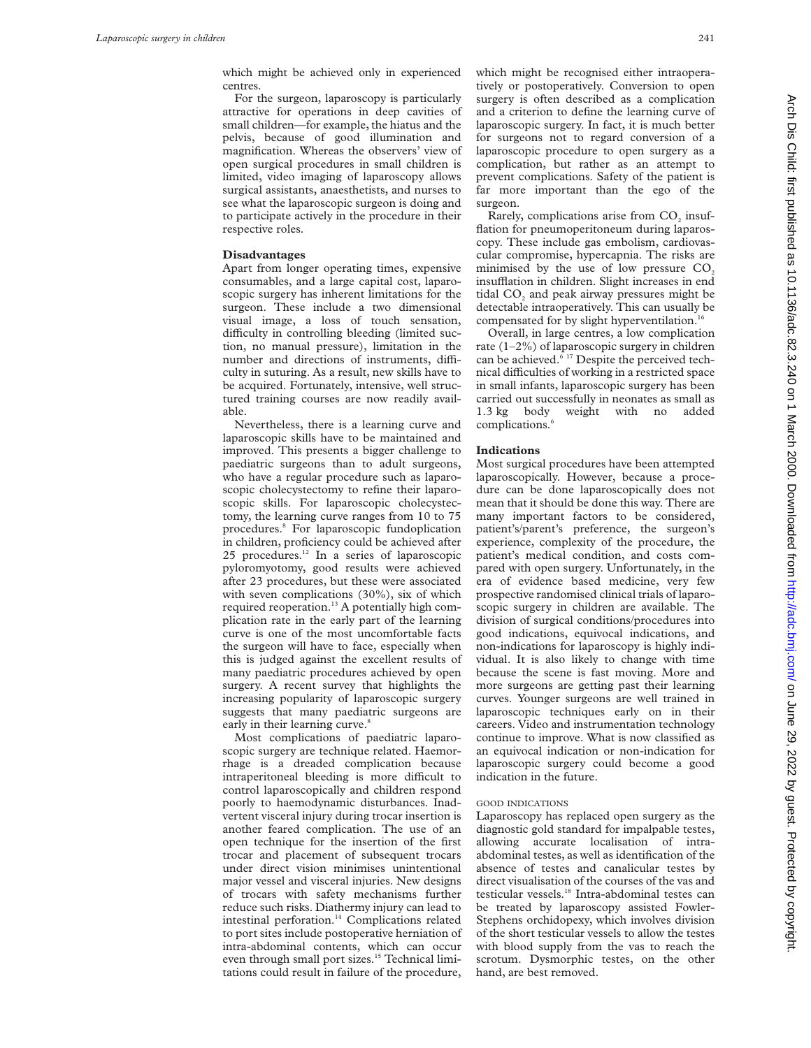which might be achieved only in experienced centres.

For the surgeon, laparoscopy is particularly attractive for operations in deep cavities of small children—for example, the hiatus and the pelvis, because of good illumination and magnification. Whereas the observers' view of open surgical procedures in small children is limited, video imaging of laparoscopy allows surgical assistants, anaesthetists, and nurses to see what the laparoscopic surgeon is doing and to participate actively in the procedure in their respective roles.

## **Disadvantages**

Apart from longer operating times, expensive consumables, and a large capital cost, laparoscopic surgery has inherent limitations for the surgeon. These include a two dimensional visual image, a loss of touch sensation, difficulty in controlling bleeding (limited suction, no manual pressure), limitation in the number and directions of instruments, difficulty in suturing. As a result, new skills have to be acquired. Fortunately, intensive, well structured training courses are now readily available.

Nevertheless, there is a learning curve and laparoscopic skills have to be maintained and improved. This presents a bigger challenge to paediatric surgeons than to adult surgeons, who have a regular procedure such as laparoscopic cholecystectomy to refine their laparoscopic skills. For laparoscopic cholecystectomy, the learning curve ranges from 10 to 75 procedures.8 For laparoscopic fundoplication in children, proficiency could be achieved after 25 procedures. $12$  In a series of laparoscopic pyloromyotomy, good results were achieved after 23 procedures, but these were associated with seven complications (30%), six of which required reoperation.<sup>13</sup> A potentially high complication rate in the early part of the learning curve is one of the most uncomfortable facts the surgeon will have to face, especially when this is judged against the excellent results of many paediatric procedures achieved by open surgery. A recent survey that highlights the increasing popularity of laparoscopic surgery suggests that many paediatric surgeons are early in their learning curve.<sup>8</sup>

Most complications of paediatric laparoscopic surgery are technique related. Haemorrhage is a dreaded complication because intraperitoneal bleeding is more difficult to control laparoscopically and children respond poorly to haemodynamic disturbances. Inadvertent visceral injury during trocar insertion is another feared complication. The use of an open technique for the insertion of the first trocar and placement of subsequent trocars under direct vision minimises unintentional major vessel and visceral injuries. New designs of trocars with safety mechanisms further reduce such risks. Diathermy injury can lead to intestinal perforation.<sup>14</sup> Complications related to port sites include postoperative herniation of intra-abdominal contents, which can occur even through small port sizes.<sup>15</sup> Technical limitations could result in failure of the procedure,

which might be recognised either intraoperatively or postoperatively. Conversion to open surgery is often described as a complication and a criterion to define the learning curve of laparoscopic surgery. In fact, it is much better for surgeons not to regard conversion of a laparoscopic procedure to open surgery as a complication, but rather as an attempt to prevent complications. Safety of the patient is far more important than the ego of the surgeon.

Rarely, complications arise from CO<sub>2</sub> insufflation for pneumoperitoneum during laparoscopy. These include gas embolism, cardiovascular compromise, hypercapnia. The risks are minimised by the use of low pressure  $CO<sub>2</sub>$ insufflation in children. Slight increases in end tidal  $CO<sub>2</sub>$  and peak airway pressures might be detectable intraoperatively. This can usually be compensated for by slight hyperventilation.<sup>1</sup>

Overall, in large centres, a low complication rate (1–2%) of laparoscopic surgery in children can be achieved. $6^{6}$ <sup>17</sup> Despite the perceived technical difficulties of working in a restricted space in small infants, laparoscopic surgery has been carried out successfully in neonates as small as 1.3 kg body weight with no added complications.<sup>6</sup>

## **Indications**

Most surgical procedures have been attempted laparoscopically. However, because a procedure can be done laparoscopically does not mean that it should be done this way. There are many important factors to be considered, patient's/parent's preference, the surgeon's experience, complexity of the procedure, the patient's medical condition, and costs compared with open surgery. Unfortunately, in the era of evidence based medicine, very few prospective randomised clinical trials of laparoscopic surgery in children are available. The division of surgical conditions/procedures into good indications, equivocal indications, and non-indications for laparoscopy is highly individual. It is also likely to change with time because the scene is fast moving. More and more surgeons are getting past their learning curves. Younger surgeons are well trained in laparoscopic techniques early on in their careers. Video and instrumentation technology continue to improve. What is now classified as an equivocal indication or non-indication for laparoscopic surgery could become a good indication in the future.

### GOOD INDICATIONS

Laparoscopy has replaced open surgery as the diagnostic gold standard for impalpable testes, allowing accurate localisation of intraabdominal testes, as well as identification of the absence of testes and canalicular testes by direct visualisation of the courses of the vas and testicular vessels.<sup>18</sup> Intra-abdominal testes can be treated by laparoscopy assisted Fowler-Stephens orchidopexy, which involves division of the short testicular vessels to allow the testes with blood supply from the vas to reach the scrotum. Dysmorphic testes, on the other hand, are best removed.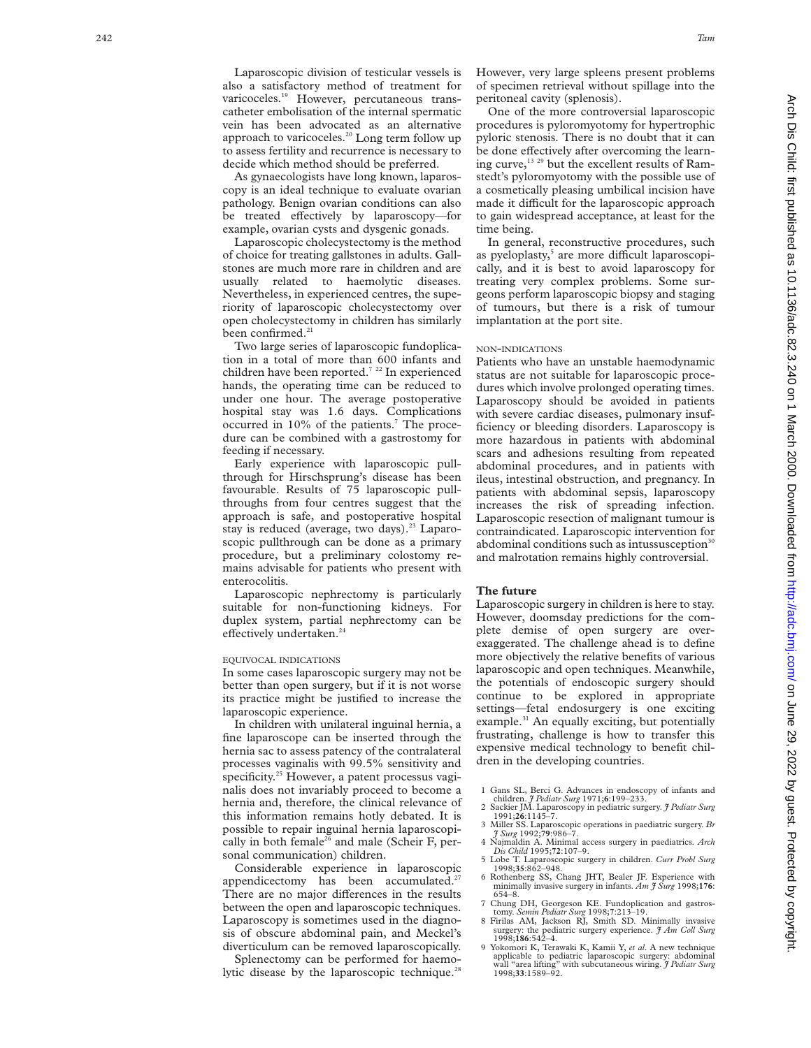Laparoscopic division of testicular vessels is also a satisfactory method of treatment for varicoceles.<sup>19</sup> However, percutaneous transcatheter embolisation of the internal spermatic vein has been advocated as an alternative approach to varicoceles.<sup>20</sup> Long term follow up to assess fertility and recurrence is necessary to decide which method should be preferred.

As gynaecologists have long known, laparoscopy is an ideal technique to evaluate ovarian pathology. Benign ovarian conditions can also be treated effectively by laparoscopy-for example, ovarian cysts and dysgenic gonads.

Laparoscopic cholecystectomy is the method of choice for treating gallstones in adults. Gallstones are much more rare in children and are usually related to haemolytic diseases. Nevertheless, in experienced centres, the superiority of laparoscopic cholecystectomy over open cholecystectomy in children has similarly been confirmed.<sup>21</sup>

Two large series of laparoscopic fundoplication in a total of more than 600 infants and children have been reported.<sup>7</sup> <sup>22</sup> In experienced hands, the operating time can be reduced to under one hour. The average postoperative hospital stay was 1.6 days. Complications occurred in 10% of the patients. <sup>7</sup> The procedure can be combined with a gastrostomy for feeding if necessary.

Early experience with laparoscopic pullthrough for Hirschsprung's disease has been favourable. Results of 75 laparoscopic pullthroughs from four centres suggest that the approach is safe, and postoperative hospital stay is reduced (average, two days).<sup>23</sup> Laparoscopic pullthrough can be done as a primary procedure, but a preliminary colostomy remains advisable for patients who present with enterocolitis.

Laparoscopic nephrectomy is particularly suitable for non-functioning kidneys. For duplex system, partial nephrectomy can be effectively undertaken.<sup>24</sup>

#### EQUIVOCAL INDICATIONS

In some cases laparoscopic surgery may not be better than open surgery, but if it is not worse its practice might be justified to increase the laparoscopic experience.

In children with unilateral inguinal hernia, a fine laparoscope can be inserted through the hernia sac to assess patency of the contralateral processes vaginalis with 99.5% sensitivity and specificity.<sup>25</sup> However, a patent processus vaginalis does not invariably proceed to become a hernia and, therefore, the clinical relevance of this information remains hotly debated. It is possible to repair inguinal hernia laparoscopically in both female<sup>26</sup> and male (Scheir F, personal communication) children.

Considerable experience in laparoscopic appendicectomy has been accumulated.<sup>27</sup> There are no major differences in the results between the open and laparoscopic techniques. Laparoscopy is sometimes used in the diagnosis of obscure abdominal pain, and Meckel's diverticulum can be removed laparoscopically.

Splenectomy can be performed for haemolytic disease by the laparoscopic technique.<sup>28</sup> However, very large spleens present problems of specimen retrieval without spillage into the peritoneal cavity (splenosis).

One of the more controversial laparoscopic procedures is pyloromyotomy for hypertrophic pyloric stenosis. There is no doubt that it can be done effectively after overcoming the learning curve,  $^{13}$  <sup>29</sup> but the excellent results of Ramstedt's pyloromyotomy with the possible use of a cosmetically pleasing umbilical incision have made it difficult for the laparoscopic approach to gain widespread acceptance, at least for the time being.

In general, reconstructive procedures, such as pyeloplasty,<sup>5</sup> are more difficult laparoscopically, and it is best to avoid laparoscopy for treating very complex problems. Some surgeons perform laparoscopic biopsy and staging of tumours, but there is a risk of tumour implantation at the port site.

## NON -INDICATIONS

Patients who have an unstable haemodynamic status are not suitable for laparoscopic procedures which involve prolonged operating times. Laparoscopy should be avoided in patients with severe cardiac diseases, pulmonary insufficiency or bleeding disorders. Laparoscopy is more hazardous in patients with abdominal scars and adhesions resulting from repeated abdominal procedures, and in patients with ileus, intestinal obstruction, and pregnancy. In patients with abdominal sepsis, laparoscopy increases the risk of spreading infection. Laparoscopic resection of malignant tumour is contraindicated. Laparoscopic intervention for abdominal conditions such as intussusception $30$ and malrotation remains highly controversial.

## **The future**

Laparoscopic surgery in children is here to stay. However, doomsday predictions for the complete demise of open surgery are overexaggerated. The challenge ahead is to define more objectively the relative benefits of various laparoscopic and open techniques. Meanwhile, the potentials of endoscopic surgery should continue to be explored in appropriate settings—fetal endosurgery is one exciting example.<sup>31</sup> An equally exciting, but potentially frustrating, challenge is how to transfer this expensive medical technology to benefit children in the developing countries.

- 1 Gans SL, Berci G. Advances in endoscopy of infants and children. *J Pediatr Surg* 1971; **<sup>6</sup>**:199–233. 2 Sackier JM. Laparoscopy in pediatric surgery. *J Pediatr Surg*
- 
- 1991;**26**:1145–7. 3 Miller SS. Laparoscopic operations in paediatric surgery. *Br J Surg* 1992;**79**:986–7.
- 4 Najmaldin A. Minimal access surgery in paediatrics. *Arch Dis Child* 1995;**72**:107–9. 5 Lobe T. Laparoscopic surgery in children. *Curr Probl Surg*
- 1998;**35**:862–948. 6 Rothenberg SS, Chang JHT, Bealer JF. Experience with
- minimally invasive surgery in infants. *Am J Surg* 1998;**176** : 654–8.
- 7 Chung DH, Georgeson KE. Fundoplication and gastros-tomy. *Semin Pediatr Surg* 1998;**7**:213–19. 8 Firilas AM, Jackson RJ, Smith SD. Minimally invasive surgery: the pediatric surgery experience. *J Am Coll Surg* 1998;**186**:542–4.
- 9 Yokomori K, Terawaki K, Kamii Y, *et al*. A new technique applicable to pediatric laparoscopic surgery: abdominal wall "area lifting" with subcutaneous wiring. *J Pediatr Surg* 1998;**33**:1589–92.